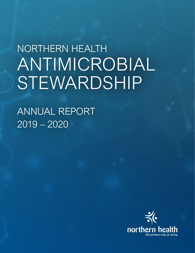# NORTHERN HEALTH A NTIMICROBIA L ANTIMICROBIAL STEWARDSHIP STEWARDSHIP NORTHERN HEALTH

ANNUAL REPORT 2019 – 2020

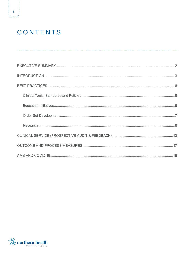## CONTENTS

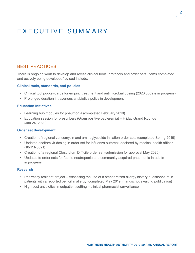## <span id="page-2-0"></span>EXECUTIVE SUMMARY

BEST PRACTICES

There is ongoing work to develop and revise clinical tools, protocols and order sets. Items completed and actively being developed/revised include:

#### **Clinical tools, standards, and policies**

- Clinical tool pocket-cards for empiric treatment and antimicrobial dosing (2020 update in progress)
- Prolonged duration intravenous antibiotics policy in development

#### **Education initiatives**

- Learning hub modules for pneumonia (completed February 2019)
- Education session for prescribers (Gram positive bacteremia) Friday Grand Rounds (Jan 24, 2020)

#### **Order set development**

- Creation of regional vancomycin and aminoglycoside initiation order sets (completed Spring 2019)
- Updated oseltamivir dosing in order set for influenza outbreak declared by medical health officer (10-111-5021)
- Creation of a regional Clostridium Difficile order set (submission for approval May 2020)
- Updates to order sets for febrile neutropenia and community acquired pneumonia in adults in progress

#### **Research**

- Pharmacy resident project Assessing the use of a standardized allergy history questionnaire in patients with a reported penicillin allergy (completed May 2019; manuscript awaiting publication)
- High cost antibiotics in outpatient setting clinical pharmacist surveillance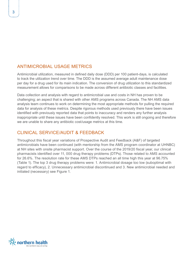## <span id="page-3-0"></span>ANTIMICROBIAL USAGE METRICS

Antimicrobial utilization, measured in defined daily dose (DDD) per 100 patient-days, is calculated to track the utilization trend over time. The DDD is the assumed average adult maintenance dose per day for a drug used for its main indication. The conversion of drug utilization to this standardized measurement allows for comparisons to be made across different antibiotic classes and facilities.

Data collection and analysis with regard to antimicrobial use and costs in NH has proven to be challenging; an aspect that is shared with other AMS programs across Canada. The NH AMS data analysis team continues to work on determining the most appropriate methods for pulling the required data for analysis of these metrics. Despite rigorous methods used previously there have been issues identified with previously reported data that points to inaccuracy and renders any further analysis inappropriate until these issues have been confidently resolved. This work is still ongoing and therefore we are unable to share any antibiotic cost/usage metrics at this time.

## CLINICAL SERVICE/AUDIT & FEEDBACK

Throughout this fiscal year variations of Prospective Audit and Feedback (A&F) of targeted antimicrobials have been continued (with mentorship from the AMS program coordinator at UHNBC) at NH sites with onsite pharmacist support. Over the course of the 2019/20 fiscal year, our clinical pharmacists identified over 11, 000 drug therapy problems (DTPs). Those related to AMS accounted for 26.6%. The resolution rate for these AMS DTPs reached an all time high this year at 96.75% (Table 1). The top 3 drug therapy problems were: 1. Antimicrobial dosage too low (suboptimal with regard to efficacy), 2. Unnecessary antimicrobial discontinued and 3. New antimicrobial needed and initiated (necessary) see Figure 1.

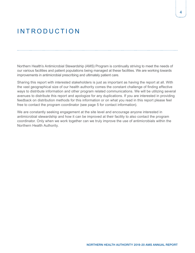## INTRODUCTION

Northern Health's Antimicrobial Stewardship (AMS) Program is continually striving to meet the needs of our various facilities and patient populations being managed at these facilities. We are working towards improvements in antimicrobial prescribing and ultimately patient care.

Sharing this report with interested stakeholders is just as important as having the report at all. With the vast geographical size of our health authority comes the constant challenge of finding effective ways to distribute information and other program related communications. We will be utilizing several avenues to distribute this report and apologize for any duplications. If you are interested in providing feedback on distribution methods for this information or on what you read in this report please feel free to contact the program coordinator (see page 5 for contact information).

We are constantly seeking engagement at the site level and encourage anyone interested in antimicrobial stewardship and how it can be improved at their facility to also contact the program coordinator. Only when we work together can we truly improve the use of antimicrobials within the Northern Health Authority.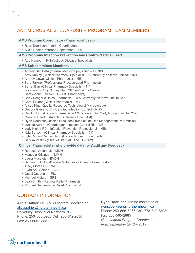## ANTIMICROBIAL STEWARDSHIP PROGRAM TEAM MEMBERS

#### **AMS Program Coordinator (Pharmacist Lead)**

- Ryan Doerksen (Interim Coordinator)
- Alicia Rahier (returned September 2019)

#### **AMS Program/ Infection Prevention and Control Medical Lead**

• Abu Hamour (NH Infectious Disease Specialist)

#### **AMS Subcommittee Members**

- Audrey Da Costa (Internal Medicine physician UHNBC)
- Amy Nunley (Clinical Pharmacy Specialist NI) currently on leave until fall 2021
- Andrew Lowe (Clinical Pharmacist NE)
- Barb Falkner (Professional Practice Lead Pharmacist)
- Barret Barr (Clinical Pharmacy Specialist NI) *covering for Amy Nunley May 2020 until end of leave*
- Carey-Anne Lawson (IT CIS Pharmacist)
- Carly Rosger (Clinical Pharmacist NW) currently on leave until fall 2020
- Carol Pruner (Clinical Pharmacist NI)
- Alissa King (Quality Resource Technologist Microbiology)
- Debora Giese (CIC Certified Infection Control NW)
- Gordon Ling (Clinical Pharmacist NW) covering for Carly Rosger until fall 2020
- Rikinder Sandhu (Infectious Disease Specialist)
- Ryan Doerksen/Jessica Brecknock (Medication Use Management Pharmacist)
- Juanita Kerbrat (Coordinator, Infection Control RN NE)
- Judy Klein (IPC Infection Prevention Professional NE)
- Kyla Bertschi (Clinical Pharmacy Specialist NI)
- Kyla Redlon/Rachel Henri (Clinical Nurse Educator NI)
- Sandra Vestvik (Chief of Staff MD, BVDH NW)

#### **Clinical Pharmacists (who provide data for Audit and Feedback)**

- Rebecca Arsenault MMH
- Manuela Krisinger MMH
- Laura Mussfeld BVDH
- Samantha Holland/Jessie McIntosh Omineca Lakes District
- Tracy Moraes PRRH
- Eyad Abu Sabiha KGH
- Oseyi Oseghale FSJ
- Michael Matula GRB
- Leah Smith Remote Relief Pharmacist
- Michael Gentleman Relief Pharmacist

### CONTACT INFORMATION

### **Alicia Rahier,** NH AMS Program Coordinator [alicia.rahier@northernhealth.ca](mailto:alicia.rahier@northernhealth.ca)

University Hospital of Northern BC Phone: 250-565-5956 Cell: 250-612-2030 Fax: 250-565-2885

#### **Ryan Doerksen** can be contacted at [ryan.doerksen@northernhealth.ca](mailto:ryan.doerksen@northernhealth.ca)

Phone: 250-565-5956 Cell: 778-349-5108 Fax: 250-565-2885 *Note: Interim Program Coordinator from September 2018 – 2019*

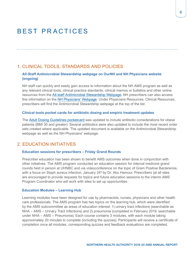## <span id="page-6-0"></span>BEST PRACTICES

### 1. CLINICAL TOOLS, STANDARDS AND POLICIES

#### **All-Staff Antimicrobial Stewardship webpage on OurNH and NH Physicians website (ongoing)**

NH staff can quickly and easily gain access to information about the NH AMS program as well as any relevant clinical tools, clinical practice standards, clinical memos or bulletins and other online resources from the [All-staff Antimicrobial Stewardship Webpage.](https://ournh.northernhealth.ca/ClinicalPatientCare/Medications/Antimicrobial/Pages/default.aspx) NH prescribers can also access this information on the [NH Physicians' Webpage.](https://physicians.northernhealth.ca/physician-resources/clinical-resources/antimicrobial-stewardship-program#about) Under Physicians Resources, Clinical Resources, prescribers will find the Antimicrobial Stewardship webpage at the top of the list.

#### **Clinical tools pocket cards for antibiotic dosing and empiric treatment updates**

The [Adult Dosing Guidelines pocketcard](https://physicians.northernhealth.ca/sites/physicians/files/physician-resources/antimicrobial-stewardship/documents/antimicrobial-stewardship-guidelines.pdf) was updated to include antibiotic considerations for obese patients (BMI 30 and greater). Several antibiotics were also updated to include the most recent order sets created where applicable. The updated document is available on the Antimicrobial Stewardship webpage as well as the NH Physicians' webpage.

### 2. EDUCATION INITIATIVES

#### **Education sessions for prescribers – Friday Grand Rounds**

Prescriber education has been shown to benefit AMS outcomes when done in conjunction with other initiatives. The AMS program conducted an education session for internal medicine grand rounds held in person at UHNBC and via videoconference on the topic of Gram Positive Bacteremia, with a focus on Staph aureus infection, January 24<sup>th</sup> by Dr. Abu Hamour. Prescribers (at all sites are encouraged to provide requests for topics and future education sessions to the interim AMS Program Coordinator who will work with sites to set up opportunities.

#### **Education Modules – Learning Hub**

Learning modules have been designed for use by pharmacists, nurses, physicians and other health care professionals. The AMS program has two topics on the learning hub, which were identified by the AMS subcommittee as areas of education interest: 1) urinary tract infections (searchable as NHA – AMS – Urinary Tract Infections) and 2) pneumonia (completed in February 2019, searchable under NHA – AMS – Pneumonia). Each course contains 3 modules, with each module taking approximately 20 minutes to complete (including the quizzes). Participants will receive a certificate of completion once all modules, corresponding quizzes and feedback evaluations are completed.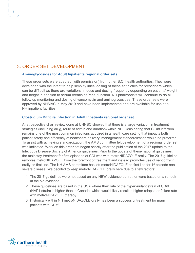### <span id="page-7-0"></span>3. ORDER SET DEVELOPMENT

#### **Aminoglycosides for Adult Inpatients regional order sets**

These order sets were adapted (with permission) from other B.C. health authorities. They were developed with the intent to help simplify initial dosing of these antibiotics for prescribers which can be difficult as there are variations in dose and dosing frequency depending on patients' weight and height in addition to serum creatinine/renal function. NH pharmacists will continue to do all follow up monitoring and dosing of vancomycin and aminoglycosides. These order sets were approved by NHMAC in May 2019 and have been implemented and are available for use at all NH inpatient facilities.

#### **Clostridium Difficile Infection in Adult Inpatients regional order set**

A retrospective chart review done at UHNBC showed that there is a large variation in treatment strategies (including drug, route of admin and duration) within NH. Considering that C Diff infection remains one of the most common infections acquired in a health care setting that impacts both patient safety and efficiency of healthcare delivery, management standardization would be preferred. To assist with achieving standardization, the AMS committee felt development of a regional order set was indicated. Work on this order set began shortly after the publication of the 2017 update to the Infectious Disease Society of America guidelines. Prior to the update of these national guidelines, the mainstay treatment for first episodes of CDI was with metroNIDAZOLE orally. The 2017 guideline removes metroNIDAZOLE from the forefront of treatment and instead promotes use of vancomycin orally as first line. The NH AMS committee has left metroNIDAZOLE as first line for 1<sup>st</sup> episode nonsevere disease. We decided to keep metroNIDAZOLE orally here due to a few factors:

- 1. The 2017 guidelines were not based on any NEW evidence but rather were based on a re-look at the old evidence
- 2. These guidelines are based in the USA where their rate of the hypervirulant strain of CDiff (NAP1 strain) is higher than in Canada, which would likely result in higher relapse or failure rate with metroNIDAZOLE therapy
- 3. Historically within NH metroNIDAZOLE orally has been a successful treatment for many patients with CDiff

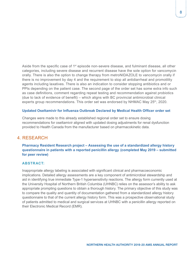<span id="page-8-0"></span>Aside from the specific case of 1<sup>st</sup> episode non-severe disease, and fulminant disease, all other categories, including severe disease and recurrent disease have the sole option for vancomycin orally. There is also the option to change therapy from metroNIDAZOLE to vancomycin orally if there is no improvement by day 4 and the requirement to stop all antidiarrheal and promotility agents including laxatives. There is also an indication to consider stopping antibiotics and or PPIs depending on the patient case. The second page of the order set has some extra info such as case definitions, comment regarding repeat testing and recommendation against probiotics (due to lack of evidence of benefit) – which aligns with BC provincial antimicrobial clinical experts group recommendations. This order set was endorsed by NHMAC May 25<sup>th</sup>, 2020.

#### **Updated Oseltamivir for Influenza Outbreak Declared by Medical Health Officer order set**

Changes were made to this already established regional order set to ensure dosing recommendations for oseltamivir aligned with updated dosing adjustments for renal dysfunction provided to Health Canada from the manufacturer based on pharmacokinetic data.

### 4. RESEARCH

**Pharmacy Resident Research project – Assessing the use of a standardized allergy history questionnaire in patients with a reported penicillin allergy (completed May 2019 – submitted for peer review)**

#### **ABSTRACT:**

Inappropriate allergy labeling is associated with significant clinical and pharmacoeconomic implications. Detailed allergy assessments are a key component of antimicrobial stewardship and aid in identifying true immediate Type-1 hypersensitivity reactions. The allergy form currently used at the University Hospital of Northern British Columbia (UHNBC) relies on the assessor's ability to ask appropriate prompting questions to obtain a thorough history. The primary objective of this study was to compare the quality and quantity of documentation gathered from a standardized allergy history questionnaire to that of the current allergy history form. This was a prospective observational study of patients admitted to medical and surgical services at UHNBC with a penicillin allergy reported on their Electronic Medical Record (EMR).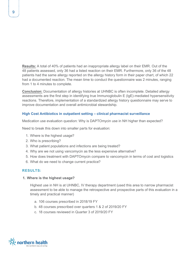**Results:** A total of 40% of patients had an inappropriate allergy label on their EMR. Out of the 48 patients assessed, only 36 had a listed reaction on their EMR. Furthermore, only 36 of the 48 patients had the same allergy reported on the allergy history form in their paper chart, of which 22 had a documented reaction. The mean time to conduct the questionnaire was 2 minutes, ranging from 1 to 4 minutes to complete.

**Conclusion:** Documentation of allergy histories at UHNBC is often incomplete. Detailed allergy assessments are the first step in identifying true Immunoglobulin E (IgE)-mediated hypersensitivity reactions. Therefore, implementation of a standardized allergy history questionnaire may serve to improve documentation and overall antimicrobial stewardship.

#### **High Cost Antibiotics in outpatient setting – clinical pharmacist surveillance**

Medication use evaluation question: Why is DAPTOmycin use in NH higher than expected?

Need to break this down into smaller parts for evaluation:

- 1. Where is the highest usage?
- 2. Who is prescribing?
- 3. What patient populations and infections are being treated?
- 4. Why are we not using vancomycin as the less expensive alternative?
- 5. How does treatment with DAPTOmycin compare to vancomycin in terms of cost and logistics
- 6. What do we need to change current practice?

#### **RESULTS:**

**1. Where is the highest usage?**

Highest use in NH is at UHNBC, IV therapy department (used this area to narrow pharmacist assessment to be able to manage the retrospective and prospective parts of this evaluation in a timely and practical manner)

- a. 106 courses prescribed in 2018/19 FY
- b. 48 courses prescribed over quarters 1 & 2 of 2019/20 FY
- c. 18 courses reviewed in Quarter 3 of 2019/20 FY

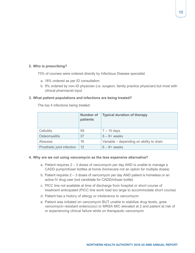#### **2. Who is prescribing?**

73% of courses were ordered directly by Infectious Disease specialist

- a. 18% ordered as per ID consultation
- b. 9% ordered by non-ID physician (i.e. surgeon, family practice physician) but most with clinical pharmacist input

#### **3. What patient populations and infections are being treated?**

The top 4 infections being treated:

|                            | <b>Number of</b><br>patients | <b>Typical duration of therapy</b>       |  |
|----------------------------|------------------------------|------------------------------------------|--|
| <b>Cellulitis</b>          | 59                           | $7 - 10$ days<br>$6 - 8 +$ weeks         |  |
| Osteomyelitis              | 37                           |                                          |  |
| Abscess                    | 16                           | Variable – depending on ability to drain |  |
| Prosthetic joint infection | 12                           | $6 - 8 +$ weeks                          |  |

#### **4. Why are we not using vancomycin as the less expensive alternative?**

- a. Patient requires 2 3 doses of vancomycin per day AND is unable to manage a CADD pump/infuser bottles at home (homecare not an option for multiple doses)
- b. Patient requires 2 3 doses of vancomycin per day AND patient is homeless or an active IV drug user (not candidate for CADD/infuser bottle)
- c. PICC line not available at time of discharge from hospital or short course of treatment anticipated (PICC line work load too large to accommodate short course)
- d. Patient has a history of allergy or intolerance to vancomycin
- e. Patient was initiated on vancomycin BUT unable to stabilize drug levels, grew vancomycin resistant enterococci or MRSA MIC elevated at 2 and patient at risk of or experiencing clinical failure while on therapeutic vancomycin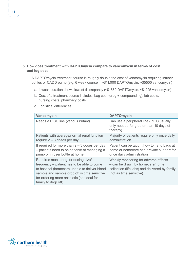#### **5. How does treatment with DAPTOmycin compare to vancomycin in terms of cost and logistics**

A DAPTOmycin treatment course is roughly double the cost of vancomycin requiring infuser bottles or CADD pump (e.g. 6 week course = ~\$11,000 DAPTOmycin, ~\$5500 vancomycin)

- a. 1 week duration shows lowest discrepancy (~\$1860 DAPTOmycin, ~\$1225 vancomycin)
- b. Cost of a treatment course includes: bag cost (drug + compounding), lab costs, nursing costs, pharmacy costs
- c. Logistical differences:

| Vancomycin                                                                                                                                                                                                                                                | <b>DAPTOmycin</b>                                                                                                                                     |
|-----------------------------------------------------------------------------------------------------------------------------------------------------------------------------------------------------------------------------------------------------------|-------------------------------------------------------------------------------------------------------------------------------------------------------|
| Needs a PICC line (venous irritant)                                                                                                                                                                                                                       | Can use a peripheral line (PICC usually<br>only needed for greater than 10 days of<br>therapy)                                                        |
| Patients with average/normal renal function<br>require $2 - 3$ doses per day                                                                                                                                                                              | Majority of patients require only once daily<br>administration                                                                                        |
| If required for more than $2 - 3$ doses per day<br>- patients need to be capable of managing a<br>pump or infuser bottle at home                                                                                                                          | Patient can be taught how to hang bags at<br>home or homecare can provide support for<br>once daily administration                                    |
| Requires monitoring for dosing size/<br>frequency – patient has to be able to come<br>to hospital (homecare unable to deliver blood<br>sample and sample drop off is time sensitive<br>for ordering more antibiotic (not ideal for<br>family to drop off) | Weekly monitoring for adverse effects<br>- can be drawn by homecare/home<br>collection (life labs) and delivered by family<br>(not as time sensitive) |

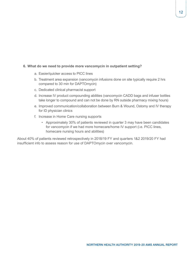#### **6. What do we need to provide more vancomycin in outpatient setting?**

- a. Easier/quicker access to PICC lines
- b. Treatment area expansion (vancomycin infusions done on site typically require 2 hrs compared to 30 min for DAPTOmycin)
- c. Dedicated clinical pharmacist support
- d. Increase IV product compounding abilities (vancomycin CADD bags and infuser bottles take longer to compound and can not be done by RN outside pharmacy mixing hours)
- e. Improved communication/collaboration between Burn & Wound, Ostomy and IV therapy for ID physician clinics
- f. Increase in Home Care nursing supports
	- Approximately 30% of patients reviewed in quarter 3 may have been candidates for vancomycin if we had more homecare/home IV support (i.e. PICC lines, homecare nursing hours and abilities)

About 40% of patients reviewed retrospectively in 2018/19 FY and quarters 1&2 2019/20 FY had insufficient info to assess reason for use of DAPTOmycin over vancomycin.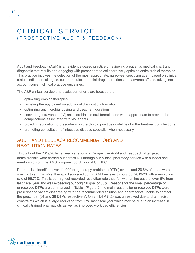## <span id="page-13-0"></span>CLINICAL SERVICE (PROSPECTIVE AUDIT & FEEDBACK)

Audit and Feedback (A&F) is an evidence-based practice of reviewing a patient's medical chart and diagnostic test results and engaging with prescribers to collaboratively optimize antimicrobial therapies. This practice involves the selection of the most appropriate, narrowest spectrum agent based on clinical status, indication, allergies, culture results, potential drug interactions and adverse effects, taking into account current clinical practice guidelines.

The A&F clinical service and evaluation efforts are focused on:

- optimizing empiric therapies
- targeting therapy based on additional diagnostic information
- optimizing antimicrobial dosing and treatment durations
- converting intravenous (IV) antimicrobials to oral formulations when appropriate to prevent the complications associated with xIV agents
- providing education to prescribers on the clinical practice guidelines for the treatment of infections
- promoting consultation of infectious disease specialist when necessary

## AUDIT AND FEEDBACK RECOMMENDATIONS AND RESOLUTION RATES

Throughout the 2019/20 fiscal year variations of Prospective Audit and Feedback of targeted antimicrobials were carried out across NH through our clinical pharmacy service with support and mentorship from the AMS program coordinator at UHNBC.

Pharmacists identified over 11, 000 drug therapy problems (DTPs) overall and 26.6% of these were specific to antimicrobial therapy discovered during AMS reviews throughout 2019/20 with a resolution rate of 96.75%. This is our highest recorded resolution rate thus far, with an increase of over 6% from last fiscal year and well exceeding our original goal of 80%. Reasons for the small percentage of unresolved DTPs are summarized in Table 1/Figure 2; the main reasons for unresolved DTPs were prescriber or patient disagreeing with the recommended solution and pharmacists unable to contact the prescriber (51 and 36 DTPs respectively). Only 1 DTP (1%) was unresolved due to pharmacist constraints which is a large reduction from 17% last fiscal year which may be due to an increase in clinically trained pharmacists as well as improved workload efficiencies.

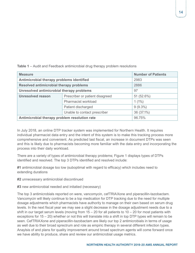| <b>Measure</b>                                | <b>Number of Patients</b>       |            |  |  |  |  |
|-----------------------------------------------|---------------------------------|------------|--|--|--|--|
| Antimicrobial therapy problems identified     | 2983                            |            |  |  |  |  |
| Resolved antimicrobial therapy problems       | 2886                            |            |  |  |  |  |
| Unresolved antimicrobial therapy problems     | 97                              |            |  |  |  |  |
| <b>Unresolved reason</b>                      | Prescriber or patient disagreed | 51 (52.6%) |  |  |  |  |
|                                               | Pharmacist workload             | $1(1\%)$   |  |  |  |  |
|                                               | Patient discharged              | $9(9.3\%)$ |  |  |  |  |
|                                               | Unable to contact prescriber    | 36 (37.1%) |  |  |  |  |
| Antimicrobial therapy problem resolution rate | 96.75%                          |            |  |  |  |  |

**Table 1** – Audit and Feedback antimicrobial drug therapy problem resolutions

In July 2018, an online DTP tracker system was implemented for Northern Health. It requires individual pharmacist data entry and the intent of this system is to make this tracking process more comprehensive and convenient. As predicted last fiscal, an increase in document DTPs was seen and this is likely due to pharmacists becoming more familiar with the data entry and incorporating the process into their daily workload.

There are a variety of types of antimicrobial therapy problems; Figure 1 displays types of DTPs identified and resolved. The top 3 DTPs identified and resolved include:

**#1** antimicrobial dosage too low (suboptimal with regard to efficacy) which includes need to extending durations

**#2** unnecessary antimicrobial discontinued

**#3** new antimicrobial needed and initatied (necessary)

The top 3 antimicrobials reported on were, vancomycin, cefTRIAXone and piperacillin-tazobactam. Vancomycin will likely continue to be a top medication for DTP tracking due to the need for multiple dosage adjustments which pharmacists have authority to manage on their own based on serum drug levels. In the next fiscal year we may see a slight decrease in the dosage adjustment needs due to a shift in our target serum levels (moving from  $15 - 20$  for all patients to  $10 - 20$  for most patients with exceptions for 15 – 20) whether or not this will translate into a shift in top DTP types will remain to be seen. CefTRIAXone and piperacillin-tazobactam are likely our top 2 antimicrobials in terms of usage as well due to their broad sprectrum and role as empiric therapy in several different infection types. Anaylsis of and plans for quality improvement around broad spectrum agents will come forward once we have ability to produce, share and review our antimicrobial usage metrics.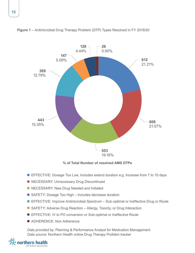

**Figure 1** – Antimicrobial Drug Therapy Problem (DTP) Types Resolved in FY 2019/20

**% of Total Number of resolved AMS DTPs**

- EFFECTIVE: Dosage Too Low, includes extend duration e.g. increase from 7 to 10 days
- NECESSARY: Unnecessary Drug Discontinued
- NECESSARY: New Drug Needed and Initiated
- SAFETY: Dosage Too High includes decrease duration
- **EFFECTIVE: Improve Antimicrobial Spectrum Sub-optimal or Ineffective Drug or Route**
- SAFETY: Adverse Drug Reaction Allergy, Toxicity, or Drug Interaction
- EFFECTIVE: IV to PO conversion or Sub-optimal or Ineffective Route
- ADHERENCE: Non Adherence

*Data provided by:* Planning & Performance Analyst for Medication Management *Data source*: Northern Health online Drug Therapy Problem tracker

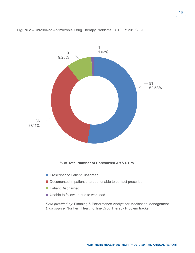

#### **Figure 2 –** Unresolved Antimicrobial Drug Therapy Problems (DTP) FY 2019/2020

#### **% of Total Number of Unresolved AMS DTPs**

- **Prescriber or Patient Disagreed**
- Documented in patient chart but unable to contact prescriber
- **Patient Discharged**
- Unable to follow up due to workload

*Data provided by:* Planning & Performance Analyst for Medication Management *Data source*: Northern Health online Drug Therapy Problem tracker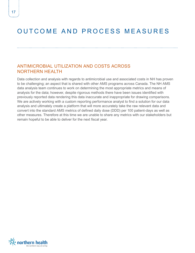## <span id="page-17-0"></span>OUTCOME AND PROCESS MEASURES

### ANTIMICROBIAL UTILIZATION AND COSTS ACROSS NORTHERN HEALTH

Data collection and analysis with regards to antimicrobial use and associated costs in NH has proven to be challenging; an aspect that is shared with other AMS programs across Canada. The NH AMS data analysis team continues to work on determining the most appropriate metrics and means of analysis for the data; however, despite rigorous methods there have been issues identified with previously reported data rendering this data inaccurate and inappropriate for drawing comparisons. We are actively working with a custom reporting performance analyst to find a solution for our data analysis and ultimately create a platform that will more accurately take the raw relevant data and convert into the standard AMS metrics of defined daily dose (DDD) per 100 patient-days as well as other measures. Therefore at this time we are unable to share any metrics with our stakeholders but remain hopeful to be able to deliver for the next fiscal year.

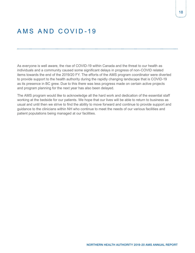## <span id="page-18-0"></span>AMS AND COVID-19

As everyone is well aware, the rise of COVID-19 within Canada and the threat to our health as individuals and a community caused some significant delays in progress of non-COVID related items towards the end of the 2019/20 FY. The efforts of the AMS program coordinator were diverted to provide support to the health authority during the rapidly changing landscape that is COVID-19 as its presence in BC grew. Due to this there was less progress made on certain active projects and program planning for the next year has also been delayed.

The AMS program would like to acknowledge all the hard work and dedication of the essential staff working at the bedside for our patients. We hope that our lives will be able to return to business as usual and until then we strive to find the ability to move forward and continue to provide support and guidance to the clinicians within NH who continue to meet the needs of our various facilities and patient populations being managed at our facilities.